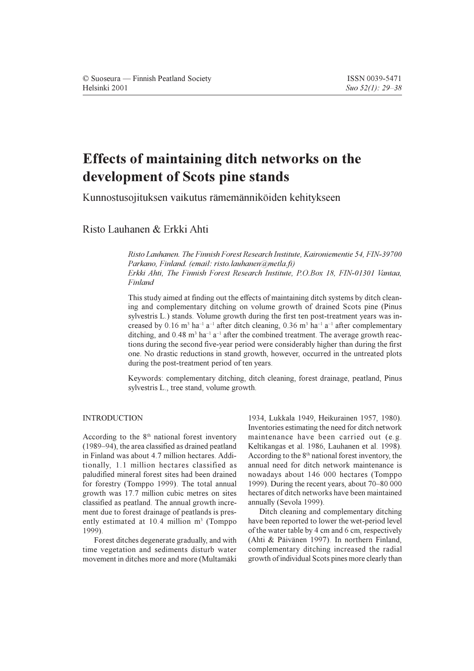# Effects of maintaining ditch networks on the development of Scots pine stands

Kunnostusojituksen vaikutus rämemänniköiden kehitykseen

Risto Lauhanen & Erkki Ahti

Risto Lauhanen. The Finnish Forest Research Institute, Kaironiementie 54, FIN-39700 Parkano, Finland. (email: risto.lauhanen@metla.fi) Erkki Ahti. The Finnish Forest Research Institute, P.O.Box 18, FIN-01301 Vantaa, Finland

This study aimed at finding out the effects of maintaining ditch systems by ditch cleaning and complementary ditching on volume growth of drained Scots pine (Pinus sylvestris L.) stands. Volume growth during the first ten post-treatment years was increased by 0.16  $m^3$  ha<sup>-1</sup> a<sup>-1</sup> after ditch cleaning, 0.36  $m^3$  ha<sup>-1</sup> a<sup>-1</sup> after complementary ditching, and 0.48  $m^3$  ha<sup>-1</sup> a<sup>-1</sup> after the combined treatment. The average growth reactions during the second five-year period were considerably higher than during the first one. No drastic reductions in stand growth, however, occurred in the untreated plots during the post-treatment period of ten years.

Keywords: complementary ditching, ditch cleaning, forest drainage, peatland, Pinus sylvestris L., tree stand, volume growth.

# **INTRODUCTION**

According to the 8<sup>th</sup> national forest inventory (1989–94), the area classified as drained peatland in Finland was about 4.7 million hectares. Additionally, 1.1 million hectares classified as paludified mineral forest sites had been drained for forestry (Tomppo 1999). The total annual growth was 17.7 million cubic metres on sites classified as peatland. The annual growth increment due to forest drainage of peatlands is presently estimated at 10.4 million m<sup>3</sup> (Tomppo  $1999$ 

Forest ditches degenerate gradually, and with time vegetation and sediments disturb water movement in ditches more and more (Multamäki 1934, Lukkala 1949, Heikurainen 1957, 1980). Inventories estimating the need for ditch network maintenance have been carried out (e.g. Keltikangas et al. 1986, Lauhanen et al. 1998). According to the 8<sup>th</sup> national forest inventory, the annual need for ditch network maintenance is nowadays about 146 000 hectares (Tomppo 1999). During the recent years, about 70–80 000 hectares of ditch networks have been maintained annually (Sevola 1999).

Ditch cleaning and complementary ditching have been reported to lower the wet-period level of the water table by 4 cm and 6 cm, respectively (Ahti & Päivänen 1997). In northern Finland, complementary ditching increased the radial growth of individual Scots pines more clearly than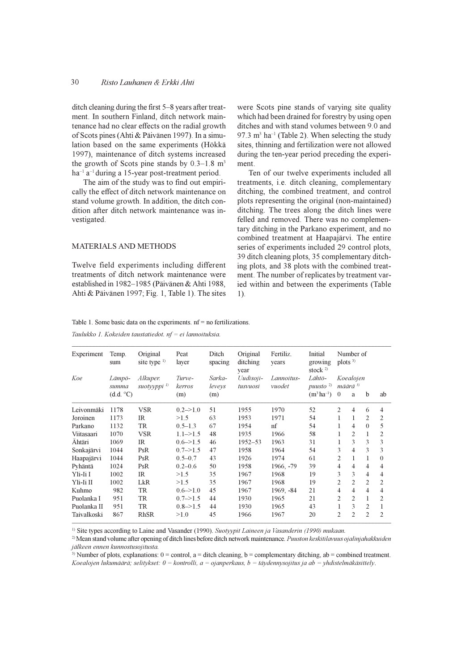#### 30 Risto Lauhanen & Erkki Ahti

ditch cleaning during the first 5–8 years after treatment. In southern Finland, ditch network maintenance had no clear effects on the radial growth of Scots pines (Ahti & Päivänen 1997). In a simulation based on the same experiments (Hökkä 1997), maintenance of ditch systems increased the growth of Scots pine stands by  $0.3-1.8$  m<sup>3</sup>  $ha^{-1}$   $a^{-1}$  during a 15-year post-treatment period.

The aim of the study was to find out empirically the effect of ditch network maintenance on stand volume growth. In addition, the ditch condition after ditch network maintenance was investigated.

#### **MATERIALS AND METHODS**

Twelve field experiments including different treatments of ditch network maintenance were established in 1982-1985 (Päivänen & Ahti 1988, Ahti & Päivänen 1997; Fig. 1, Table 1). The sites were Scots pine stands of varying site quality which had been drained for forestry by using open ditches and with stand volumes between 9.0 and 97.3  $m<sup>3</sup>$  ha<sup>-1</sup> (Table 2). When selecting the study sites, thinning and fertilization were not allowed during the ten-year period preceding the experiment.

Ten of our twelve experiments included all treatments, i.e. ditch cleaning, complementary ditching, the combined treatment, and control plots representing the original (non-maintained) ditching. The trees along the ditch lines were felled and removed. There was no complementary ditching in the Parkano experiment, and no combined treatment at Haapajärvi. The entire series of experiments included 29 control plots, 39 ditch cleaning plots, 35 complementary ditching plots, and 38 plots with the combined treatment. The number of replicates by treatment varied within and between the experiments (Table  $1)$ 

Table 1. Some basic data on the experiments,  $nf = no$  fertilizations.

Taulukko 1. Kokeiden taustatiedot.  $nf = ei$  lannoituksia.

| Experiment  | Temp.<br>sum       | Original<br>site type $\frac{1}{2}$ | Peat<br>layer         | Ditch<br>spacing | Original<br>ditching<br>year | Fertiliz.<br>years | Initial<br>growing<br>stock $2$  | plots <sup>3</sup> | Number of                |                |                |
|-------------|--------------------|-------------------------------------|-----------------------|------------------|------------------------------|--------------------|----------------------------------|--------------------|--------------------------|----------------|----------------|
| Koe         | Lämpö-             | Alkuper.                            | Turve-                | Sarka-           | Uudisoji-                    | Lannoitus-         | Lähtö-                           | Koealojen          |                          |                |                |
|             | summa<br>(d.d. °C) | suotyyppi <sup>1)</sup>             | kerros<br>(m)         | leveys<br>(m)    | tusvuosi                     | vuodet             | puusto $2$<br>$(m^3 \, ha^{-1})$ | $\theta$           | määrä <sup>3)</sup><br>a | $\mathbf b$    | ab             |
| Leivonmäki  | 1178               | <b>VSR</b>                          | $0.2 \rightarrow 1.0$ | 51               | 1955                         | 1970               | 52                               | 2                  | $\overline{4}$           | 6              | 4              |
| Joroinen    | 1173               | IR                                  | >1.5                  | 63               | 1953                         | 1971               | 54                               | 1                  | 1                        | $\overline{2}$ | 2              |
| Parkano     | 1132               | <b>TR</b>                           | $0.5 - 1.3$           | 67               | 1954                         | nf                 | 54                               | 1                  | 4                        | $\Omega$       | 5              |
| Viitasaari  | 1070               | <b>VSR</b>                          | $1.1 \rightarrow 1.5$ | 48               | 1935                         | 1966               | 58                               |                    | $\overline{2}$           | 1              | 2              |
| Ahtäri      | 1069               | IR                                  | $0.6 = > 1.5$         | 46               | $1952 - 53$                  | 1963               | 31                               |                    | 3                        | 3              | 3              |
| Sonkajärvi  | 1044               | PsR                                 | $0.7 - > 1.5$         | 47               | 1958                         | 1964               | 54                               | 3                  | $\overline{4}$           | 3              | 3              |
| Haapajärvi  | 1044               | PsR                                 | $0.5 - 0.7$           | 43               | 1926                         | 1974               | 61                               | $\overline{c}$     | 1                        | 1              | $\theta$       |
| Pyhäntä     | 1024               | PsR                                 | $0.2 - 0.6$           | 50               | 1958                         | 1966, -79          | 39                               | 4                  | $\overline{4}$           | 4              | 4              |
| Yli-Ii I    | 1002               | IR                                  | >1.5                  | 35               | 1967                         | 1968               | 19                               | 3                  | 3                        | 4              | 4              |
| Yli-Ii II   | 1002               | LkR                                 | >1.5                  | 35               | 1967                         | 1968               | 19                               | 2                  | $\overline{2}$           | $\mathfrak{D}$ | 2              |
| Kuhmo       | 982                | TR                                  | $0.6 = > 1.0$         | 45               | 1967                         | 1969, -84          | 21                               | 4                  | $\overline{4}$           | 4              | 4              |
| Puolanka I  | 951                | TR                                  | $0.7 - > 1.5$         | 44               | 1930                         | 1965               | 21                               | 2                  | $\overline{2}$           | 1              | 2              |
| Puolanka II | 951                | TR                                  | $0.8 - > 1.5$         | 44               | 1930                         | 1965               | 43                               |                    | 3                        | $\overline{2}$ |                |
| Taivalkoski | 867                | <b>RhSR</b>                         | >1.0                  | 45               | 1966                         | 1967               | 20                               | $\overline{2}$     | $\overline{2}$           | $\overline{c}$ | $\overline{2}$ |

<sup>1)</sup> Site types according to Laine and Vasander (1990). Suotypit Laineen ja Vasanderin (1990) mukaan.

<sup>2)</sup> Mean stand volume after opening of ditch lines before ditch network maintenance. Puuston keskitilavuus ojalinjahakkuiden jälkeen ennen kunnostusojitusta.

<sup>3)</sup> Number of plots, explanations:  $0 =$  control,  $a =$  ditch cleaning,  $b =$  complementary ditching,  $ab =$  combined treatment. Koealojen lukumäärä; selitykset: 0 = kontrolli, a = ojanperkaus, b = täydennysojitus ja ab = yhdistelmäkäsittely.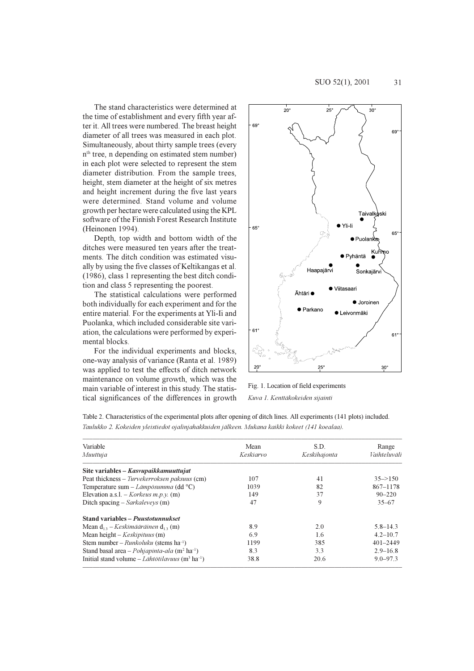The stand characteristics were determined at the time of establishment and every fifth year after it. All trees were numbered. The breast height diameter of all trees was measured in each plot. Simultaneously, about thirty sample trees (every n<sup>th</sup> tree, n depending on estimated stem number) in each plot were selected to represent the stem diameter distribution. From the sample trees, height, stem diameter at the height of six metres and height increment during the five last years were determined. Stand volume and volume growth per hectare were calculated using the KPL software of the Finnish Forest Research Institute (Heinonen 1994).

Depth, top width and bottom width of the ditches were measured ten years after the treatments. The ditch condition was estimated visually by using the five classes of Keltikangas et al. (1986), class 1 representing the best ditch condition and class 5 representing the poorest.

The statistical calculations were performed both individually for each experiment and for the entire material. For the experiments at Yli-Ii and Puolanka, which included considerable site variation, the calculations were performed by experimental blocks.

For the individual experiments and blocks, one-way analysis of variance (Ranta et al. 1989) was applied to test the effects of ditch network maintenance on volume growth, which was the main variable of interest in this study. The statistical significances of the differences in growth



Fig. 1. Location of field experiments Kuva 1. Kenttäkokeiden sijainti

| Variable                                                                | Mean      | S.D.         | Range                |
|-------------------------------------------------------------------------|-----------|--------------|----------------------|
| Muuttuja                                                                | Keskiarvo | Keskihajonta | Vaihteluväli         |
| Site variables – Kasvupaikkamuuttujat                                   |           |              |                      |
| Peat thickness – Turvekerroksen paksuus (cm)                            | 107       | 41           | $35 \rightarrow 150$ |
| Temperature sum – Lämpösumma (dd $^{\circ}$ C)                          | 1039      | 82           | 867-1178             |
| Elevation a.s.l. – <i>Korkeus m.p.y.</i> (m)                            | 149       | 37           | $90 - 220$           |
| Ditch spacing – Sarkaleveys $(m)$                                       | 47        | 9            | $35 - 67$            |
| <b>Stand variables – Puustotunnukset</b>                                |           |              |                      |
| Mean $d_{13}$ – <i>Keskimääräinen</i> $d_{13}$ (m)                      | 8.9       | 2.0          | $5.8 - 14.3$         |
| Mean height $-$ <i>Keskipituus</i> (m)                                  | 6.9       | 1.6          | $4.2 - 10.7$         |
| Stem number – Runkoluku (stems ha <sup>-1</sup> )                       | 1199      | 385          | $401 - 2449$         |
| Stand basal area - Pohjapinta-ala (m <sup>2</sup> ha <sup>-1</sup> )    | 8.3       | 3.3          | $2.9 - 16.8$         |
| Initial stand volume – Lähtötilavuus (m <sup>3</sup> ha <sup>-1</sup> ) | 38.8      | 20.6         | $9.0 - 97.3$         |

Table 2. Characteristics of the experimental plots after opening of ditch lines. All experiments (141 plots) included. Taulukko 2. Kokeiden yleistiedot ojalinjahakkuiden jälkeen. Mukana kaikki kokeet (141 koealaa).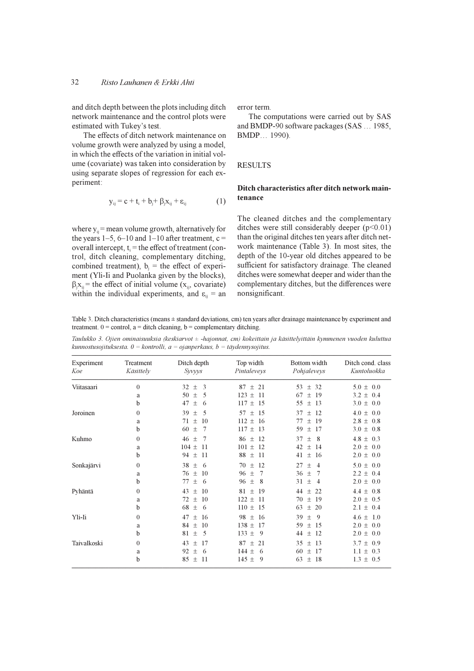and ditch depth between the plots including ditch network maintenance and the control plots were estimated with Tukey's test.

The effects of ditch network maintenance on volume growth were analyzed by using a model, in which the effects of the variation in initial volume (covariate) was taken into consideration by using separate slopes of regression for each experiment:

where  $y_{ii}$  = mean volume growth, alternatively for

the years 1–5, 6–10 and 1–10 after treatment,  $c =$ 

overall intercept,  $t_i$  = the effect of treatment (con-

trol, ditch cleaning, complementary ditching,

combined treatment),  $b_i$  = the effect of experiment (Yli-Ii and Puolanka given by the blocks),

 $\beta_i x_{ii}$  = the effect of initial volume ( $x_{ii}$ , covariate)

within the individual experiments, and  $\varepsilon_{ii}$  = an

$$
y_{ij} = c + t_i + b_j + \beta_i x_{ij} + \epsilon_{ij}
$$
 (1)

error term.

The computations were carried out by SAS and BMDP-90 software packages (SAS ... 1985, BMDP... 1990).

#### **RESULTS**

# Ditch characteristics after ditch network maintenance

The cleaned ditches and the complementary ditches were still considerably deeper  $(p<0.01)$ than the original ditches ten years after ditch network maintenance (Table 3). In most sites, the depth of the 10-year old ditches appeared to be sufficient for satisfactory drainage. The cleaned ditches were somewhat deeper and wider than the complementary ditches, but the differences were nonsignificant.

Table 3. Ditch characteristics (means  $\pm$  standard deviations, cm) ten years after drainage maintenance by experiment and treatment.  $0 =$  control,  $a =$  ditch cleaning,  $b =$  complementary ditching.

Taulukko 3. Ojien ominaisuuksia (keskiarvot ± -hajonnat, cm) kokeittain ja käsittelyittäin kymmenen vuoden kuluttua kunnostusojituksesta.  $0 =$ kontrolli,  $a =$ ojanperkaus,  $b =$ täydennysojitus.

| Experiment<br>Koe | Treatment<br>Käsittely | Ditch depth<br>Syvyys | Top width<br>Pintaleveys | Bottom width<br>Pohjaleveys | Ditch cond. class<br>Kuntoluokka |
|-------------------|------------------------|-----------------------|--------------------------|-----------------------------|----------------------------------|
| Viitasaari        | $\theta$               | 3<br>32<br>$\pm$      | $87 + 21$                | ± 32<br>53                  | $5.0 \pm 0.0$                    |
|                   | a                      | 5<br>50<br>$\pm$      | $123 \pm$<br>-11         | 67<br>19<br>$_{\pm}$        | $3.2 \pm$<br>0.4                 |
|                   | b                      | 47<br>$\pm$<br>6      | $117 \pm 15$             | 55<br>$+$<br>-13            | $3.0 \pm 0.0$                    |
| Joroinen          | $\Omega$               | 39<br>5<br>$\pm$      | -15<br>57<br>$+$         | 12<br>37<br>$+$             | 0.0<br>$4.0 \pm$                 |
|                   | a                      | 71<br>$\pm$<br>10     | $112 \pm 16$             | -19<br>77<br>$+$            | $2.8 \pm$<br>0.8                 |
|                   | b                      | 7<br>60<br>$\pm$      | $117 \pm 13$             | 59<br>17<br>$+$             | $3.0 \pm$<br>0.8                 |
| Kuhmo             | $\Omega$               | 46<br>$\pm$<br>7      | $86 \pm 12$              | 37<br>8<br>$+$              | $4.8 \pm$<br>0.3                 |
|                   | a                      | $104 \pm$<br>11       | $101 \pm 12$             | 42<br>14<br>$+$             | $2.0 \pm$<br>0.0                 |
|                   | b                      | 94 $\pm$<br>11        | $88 \pm$<br>-11          | $\pm$<br>-16<br>41          | $2.0 \pm 0.0$                    |
| Sonkajärvi        | $\Omega$               | 38<br>$\pm$<br>6      | 70<br>12<br>$+$          | 27<br>$+$<br>$\overline{4}$ | $5.0 \pm 0.0$                    |
|                   | a                      | 76<br>$\pm$<br>10     | 96<br>7<br>$\pm$         | 36<br>$+$<br>7              | $2.2 \pm 0.4$                    |
|                   | b                      | 77<br>$+$<br>6        | $+$<br>96<br>-8          | 31<br>$+$<br>$\overline{4}$ | $2.0 \pm$<br>0.0                 |
| Pyhäntä           | $\Omega$               | 43<br>10<br>$\pm$     | $81 +$<br>-19            | 44<br>22<br>$+$             | $4.4 \pm 0.8$                    |
|                   | a                      | 72<br>$\pm$<br>10     | $122 \pm$<br>-11         | 70<br>$+$<br>-19            | $2.0 \pm 0.5$                    |
|                   | b                      | 68<br>$\pm$<br>-6     | $110 \pm 15$             | 20<br>63<br>$+$             | $2.1 \pm$<br>0.4                 |
| Yli-Ii            | $\Omega$               | 47<br>$\pm$<br>16     | $98 \pm 16$              | 39<br>-9<br>$+$             | $4.6 \pm 1.0$                    |
|                   | a                      | 84<br>$\pm$<br>10     | $138 \pm$<br>-17         | 59<br>$\pm$<br>-15          | $2.0 \pm$<br>0.0                 |
|                   | b                      | 5<br>81<br>土          | $133 +$<br>-9            | 12<br>44<br>$+$             | $2.0 \pm$<br>0.0                 |
| Taivalkoski       | $\Omega$               | 43<br>17<br>土         | 87<br>21<br>$+$          | -13<br>35<br>$+$            | $3.7 \pm 0.9$                    |
|                   | a                      | 92<br>$+$<br>-6       | 144 $\pm$<br>- 6         | 60<br>-17<br>$+$            | $1.1 \pm 0.3$                    |
|                   | b                      | 85<br>11<br>$\pm$     | 145 $\pm$<br>9           | 63<br>-18<br>$+$            | $1.3 \pm 0.5$                    |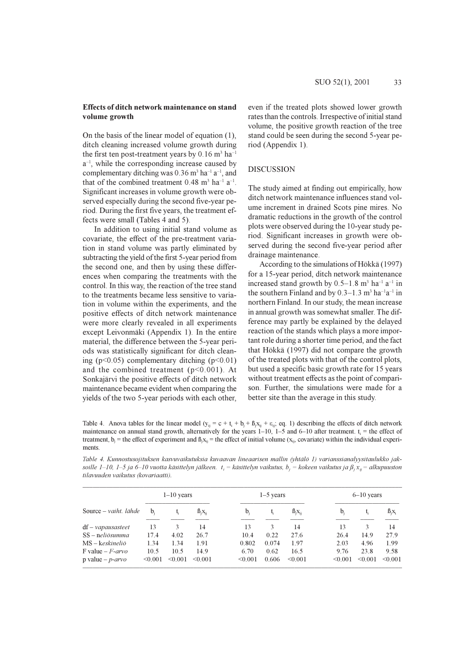### Effects of ditch network maintenance on stand volume growth

On the basis of the linear model of equation  $(1)$ , ditch cleaning increased volume growth during the first ten post-treatment years by 0.16  $m^3$  ha<sup>-1</sup>  $a^{-1}$ , while the corresponding increase caused by complementary ditching was 0.36 m<sup>3</sup> ha<sup>-1</sup> a<sup>-1</sup>, and that of the combined treatment  $0.48 \text{ m}^3 \text{ ha}^{-1} \text{ a}^{-1}$ . Significant increases in volume growth were observed especially during the second five-year period. During the first five years, the treatment effects were small (Tables 4 and 5).

In addition to using initial stand volume as covariate, the effect of the pre-treatment variation in stand volume was partly eliminated by subtracting the yield of the first 5-year period from the second one, and then by using these differences when comparing the treatments with the control. In this way, the reaction of the tree stand to the treatments became less sensitive to variation in volume within the experiments, and the positive effects of ditch network maintenance were more clearly revealed in all experiments except Leivonmäki (Appendix 1). In the entire material, the difference between the 5-year periods was statistically significant for ditch cleaning ( $p<0.05$ ) complementary ditching ( $p<0.01$ ) and the combined treatment ( $p<0.001$ ). At Sonkajärvi the positive effects of ditch network maintenance became evident when comparing the vields of the two 5-year periods with each other.

even if the treated plots showed lower growth rates than the controls. Irrespective of initial stand volume, the positive growth reaction of the tree stand could be seen during the second 5-year period (Appendix 1).

# **DISCUSSION**

The study aimed at finding out empirically, how ditch network maintenance influences stand volume increment in drained Scots pine mires. No dramatic reductions in the growth of the control plots were observed during the 10-year study period. Significant increases in growth were observed during the second five-year period after drainage maintenance.

According to the simulations of Hökkä (1997) for a 15-year period, ditch network maintenance increased stand growth by  $0.5-1.8$  m<sup>3</sup> ha<sup>-1</sup> a<sup>-1</sup> in the southern Finland and by  $0.3-1.3$  m<sup>3</sup> ha<sup>-1</sup>a<sup>-1</sup> in northern Finland. In our study, the mean increase in annual growth was somewhat smaller. The difference may partly be explained by the delayed reaction of the stands which plays a more important role during a shorter time period, and the fact that Hökkä (1997) did not compare the growth of the treated plots with that of the control plots, but used a specific basic growth rate for 15 years without treatment effects as the point of comparison. Further, the simulations were made for a better site than the average in this study.

Table 4. Anova tables for the linear model  $(y_{ii} = c + t_i + b_i + \beta_i x_{ii} + \varepsilon_{ii}; eq. 1)$  describing the effects of ditch network maintenance on annual stand growth, alternatively for the years  $1-10$ ,  $1-5$  and  $6-10$  after treatment.  $t_i$  = the effect of treatment,  $b_j$  = the effect of experiment and  $\beta_j x_{ij}$  = the effect of initial volume ( $x_{ij}$ , covariate) within the individual experi*ments* 

|                            | $1-10$ years |         |          | $1-5$ years |       |             | $6-10$ years |         |          |  |
|----------------------------|--------------|---------|----------|-------------|-------|-------------|--------------|---------|----------|--|
| Source – vaiht. lähde      | $b_i$        | t,      | $B_iX_i$ | $b_i$       | t,    | $B_iX_{ii}$ | $b_i$        | t,      | $B_iX_i$ |  |
| $df$ – <i>vapausasteet</i> | 13           | 3       | 14       | 13          | 3     | 14          | 13           | 3       | 14       |  |
| $SS - neli\ddot{o} summa$  | 17.4         | 4.02    | 26.7     | 10.4        | 0.22  | 27.6        | 26.4         | 14.9    | 27.9     |  |
| MS – keskineliö            | 1.34         | 1.34    | 1.91     | 0.802       | 0.074 | 1.97        | 2.03         | 4.96    | 1.99     |  |
| F value $-F$ -arvo         | 10.5         | 10.5    | 14.9     | 6.70        | 0.62  | 16.5        | 9.76         | 23.8    | 9.58     |  |
| p value – $p$ -arvo        | < 0.001      | < 0.001 | < 0.001  | < 0.001     | 0.606 | < 0.001     | < 0.001      | < 0.001 | < 0.001  |  |

Table 4. Kunnostusojituksen kasvuvaikutuksia kuvaavan lineaarisen mallin (yhtälö 1) varianssianalyysitaulukko jaksoille 1–10, 1–5 ja 6–10 vuotta käsittelyn jälkeen. t<sub>i</sub> = käsittelyn vaikutus, b<sub>i</sub> = kokeen vaikutus ja  $\beta_i x_{ii} =$  alkupuuston tilavuuden vaikutus (kovariaatti).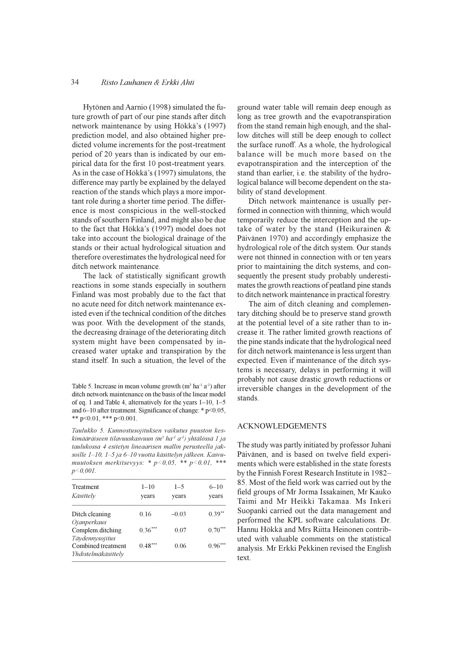#### 34 Risto Lauhanen & Erkki Ahti

Hytönen and Aarnio (1998) simulated the future growth of part of our pine stands after ditch network maintenance by using Hökkä's (1997) prediction model, and also obtained higher predicted volume increments for the post-treatment period of 20 years than is indicated by our empirical data for the first 10 post-treatment years. As in the case of Hökkä's (1997) simulatons, the difference may partly be explained by the delayed reaction of the stands which plays a more important role during a shorter time period. The difference is most conspicious in the well-stocked stands of southern Finland, and might also be due to the fact that Hökkä's (1997) model does not take into account the biological drainage of the stands or their actual hydrological situation and therefore overestimates the hydrological need for ditch network maintenance.

The lack of statistically significant growth reactions in some stands especially in southern Finland was most probably due to the fact that no acute need for ditch network maintenance existed even if the technical condition of the ditches was poor. With the development of the stands, the decreasing drainage of the deteriorating ditch system might have been compensated by increased water uptake and transpiration by the stand itself. In such a situation, the level of the

Table 5. Increase in mean volume growth (m<sup>3</sup> ha<sup>-1</sup> a<sup>-1</sup>) after ditch network maintenance on the basis of the linear model of eq. 1 and Table 4, alternatively for the years  $1-10$ ,  $1-5$ and 6-10 after treatment. Significance of change: \* p<0.05, \*\*  $p<0.01$ , \*\*\*  $p<0.001$ .

Taulukko 5. Kunnostusojituksen vaikutus puuston keskimääräiseen tilavuuskasvuun (m<sup>3</sup> ha<sup>-1</sup> a<sup>-1</sup>) yhtälössä 1 ja taulukossa 4 esitetyn lineaarisen mallin perusteella jaksoille 1-10, 1-5 ja 6-10 vuotta käsittelyn jälkeen. Kasvumuutoksen merkitsevyys: \* p<0,05, \*\* p<0,01, \*\*\*  $p<0.001$ .

| $1 - 10$<br>vears | $1 - 5$<br>years | $6 - 10$<br>years |
|-------------------|------------------|-------------------|
| 0.16              | $-0.03$          | $0.39**$          |
| $0.36***$         | 0.07             | $0.70***$         |
| $0.48***$         | 0.06             | $0.96***$         |
|                   |                  |                   |

ground water table will remain deep enough as long as tree growth and the evapotranspiration from the stand remain high enough, and the shallow ditches will still be deep enough to collect the surface runoff. As a whole, the hydrological balance will be much more based on the evapotranspiration and the interception of the stand than earlier, i.e. the stability of the hydrological balance will become dependent on the stability of stand development.

Ditch network maintenance is usually performed in connection with thinning, which would temporarily reduce the interception and the uptake of water by the stand (Heikurainen  $\&$ Päivänen 1970) and accordingly emphasize the hydrological role of the ditch system. Our stands were not thinned in connection with or ten years prior to maintaining the ditch systems, and consequently the present study probably underestimates the growth reactions of peatland pine stands to ditch network maintenance in practical forestry.

The aim of ditch cleaning and complementary ditching should be to preserve stand growth at the potential level of a site rather than to increase it. The rather limited growth reactions of the pine stands indicate that the hydrological need for ditch network maintenance is less urgent than expected. Even if maintenance of the ditch systems is necessary, delays in performing it will probably not cause drastic growth reductions or irreversible changes in the development of the stands.

#### **ACKNOWLEDGEMENTS**

The study was partly initiated by professor Juhani Päivänen, and is based on twelve field experiments which were established in the state forests by the Finnish Forest Research Institute in 1982-85. Most of the field work was carried out by the field groups of Mr Jorma Issakainen, Mr Kauko Taimi and Mr Heikki Takamaa. Ms Inkeri Suopanki carried out the data management and performed the KPL software calculations. Dr. Hannu Hökkä and Mrs Riitta Heinonen contributed with valuable comments on the statistical analysis. Mr Erkki Pekkinen revised the English text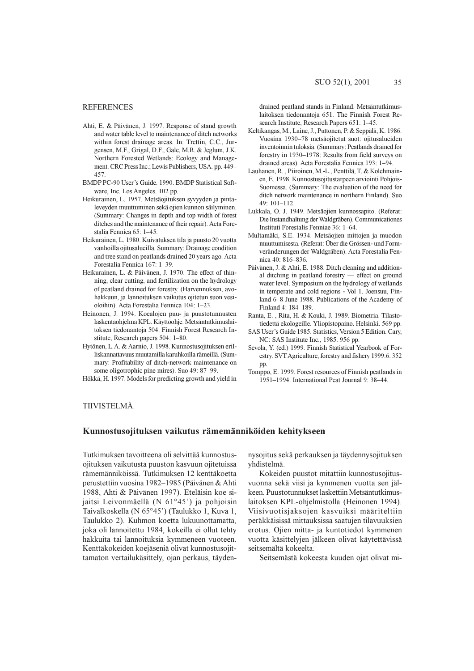#### **REFERENCES**

- Ahti, E. & Päivänen, J. 1997. Response of stand growth and water table level to maintenance of ditch networks within forest drainage areas. In: Trettin, C.C., Jurgensen, M.F., Grigal, D.F., Gale, M.R. & Jeglum, J.K. Northern Forested Wetlands: Ecology and Management. CRC Press Inc.; Lewis Publishers, USA. pp. 449-457
- BMDP PC-90 User's Guide. 1990. BMDP Statistical Software. Inc. Los Angeles. 102 pp.
- Heikurainen, L. 1957. Metsäojituksen syyvyden ja pintalevevden muuttuminen sekä ojien kunnon säilyminen. (Summary: Changes in depth and top width of forest ditches and the maintenance of their repair). Acta Forestalia Fennica 65: 1-45.
- Heikurainen, L. 1980. Kuivatuksen tila ja puusto 20 vuotta vanhoilla ojitusalueilla. Summary: Drainage condition and tree stand on peatlands drained 20 years ago. Acta Forestalia Fennica 167: 1-39.
- Heikurainen, L. & Päivänen, J. 1970. The effect of thinning, clear cutting, and fertilization on the hydrology of peatland drained for forestry. (Harvennuksen, avohakkuun, ja lannoituksen vaikutus ojitetun suon vesioloihin). Acta Forestalia Fennica 104: 1-23.
- Heinonen, J. 1994. Koealojen puu- ja puustotunnusten laskentaohjelma KPL. Käyttöohje. Metsäntutkimuslaitoksen tiedonantoja 504. Finnish Forest Research Institute, Research papers 504: 1-80.
- Hytönen, L.A. & Aarnio, J. 1998. Kunnostusoiituksen erilliskannattavuus muutamilla karuhkoilla rämeillä. (Summary: Profitability of ditch-network maintenance on some oligotrophic pine mires). Suo 49: 87-99.
- Hökkä, H. 1997. Models for predicting growth and yield in

drained peatland stands in Finland. Metsäntutkimuslaitoksen tiedonantoja 651. The Finnish Forest Research Institute, Research Papers 651: 1-45.

- Keltikangas, M., Laine, J., Puttonen, P. & Seppälä, K. 1986. Vuosina 1930–78 metsäojitetut suot: ojitusalueiden inventoinnin tuloksia. (Summary: Peatlands drained for forestry in 1930–1978: Results from field surveys on drained areas). Acta Forestalia Fennica 193: 1-94.
- Lauhanen, R., Piiroinen, M.-L., Penttilä, T. & Kolehmainen, E. 1998. Kunnostusojitustarpeen arviointi Pohjois-Suomessa. (Summary: The evaluation of the need for ditch network maintenance in northern Finland). Suo 49: 101-112
- Lukkala, O. J. 1949. Metsäojien kunnossapito. (Referat: Die Instandhaltung der Waldgräben). Communicationes Instituti Forestalis Fenniae 36: 1-64.
- Multamäki, S.E. 1934. Metsäojien mittojen ja muodon muuttumisesta. (Referat: Über die Grössen- und Formveränderungen der Waldgräben). Acta Forestalia Fennica 40: 816-836.
- Päivänen, J. & Ahti, E. 1988. Ditch cleaning and additional ditching in peatland forestry - effect on ground water level. Symposium on the hydrology of wetlands in temperate and cold regions - Vol 1. Joensuu, Finland 6-8 June 1988. Publications of the Academy of Finland 4: 184-189.
- Ranta, E., Rita, H. & Kouki, J. 1989. Biometria. Tilastotiedettä ekologeille. Yliopistopaino. Helsinki. 569 pp.
- SAS User's Guide 1985. Statistics, Version 5 Edition. Cary, NC: SAS Institute Inc., 1985. 956 pp.
- Sevola, Y. (ed.) 1999. Finnish Statistical Yearbook of Forestry. SVT Agriculture, forestry and fishery 1999:6, 352 pp.
- Tomppo, E. 1999. Forest resources of Finnish peatlands in 1951-1994. International Peat Journal 9: 38-44.

# TIIVISTELMÄ:

### Kunnostusojituksen vaikutus rämemänniköiden kehitykseen

Tutkimuksen tavoitteena oli selvittää kunnostusojituksen vaikutusta puuston kasvuun ojitetuissa rämemänniköissä. Tutkimuksen 12 kenttäkoetta perustettiin vuosina 1982–1985 (Päivänen & Ahti 1988, Ahti & Päivänen 1997). Eteläisin koe sijaitsi Leivonmäellä (N 61°45') ja pohjoisin Taivalkoskella (N 65°45') (Taulukko 1, Kuva 1, Taulukko 2). Kuhmon koetta lukuunottamatta, joka oli lannoitettu 1984, kokeilla ei ollut tehty hakkuita tai lannoituksia kymmeneen vuoteen. Kenttäkokeiden koejäseniä olivat kunnostusojittamaton vertailukäsittely, ojan perkaus, täyden-

nysojitus sekä perkauksen ja täydennysojituksen vhdistelmä.

Kokeiden puustot mitattiin kunnostusojitusvuonna sekä viisi ja kymmenen vuotta sen jälkeen. Puustotunnukset laskettiin Metsäntutkimuslaitoksen KPL-ohjelmistolla (Heinonen 1994). Viisivuotisjaksojen kasvuiksi määriteltiin peräkkäisissä mittauksissa saatujen tilavuuksien erotus. Ojien mitta- ja kuntotiedot kymmenen vuotta käsittelyjen jälkeen olivat käytettävissä seitsemältä kokeelta.

Seitsemästä kokeesta kuuden ojat olivat mi-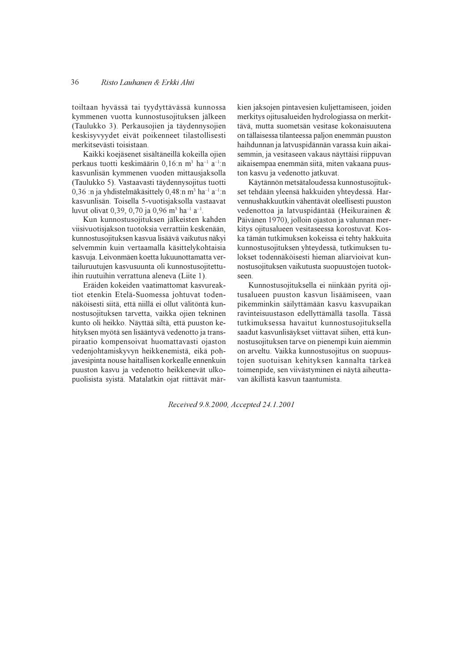toiltaan hyvässä tai tyydyttävässä kunnossa kymmenen vuotta kunnostusojituksen jälkeen (Taulukko 3). Perkausojien ja täydennysojien keskisyvyydet eivät poikenneet tilastollisesti merkitsevästi toisistaan.

Kaikki koejäsenet sisältäneillä kokeilla ojien perkaus tuotti keskimäärin 0.16:n m<sup>3</sup> ha<sup>-1</sup> a<sup>-1</sup>:n kasvunlisän kymmenen vuoden mittausiaksolla (Taulukko 5). Vastaavasti täydennysojitus tuotti 0,36 :n ja yhdistelmäkäsittely 0,48:n m<sup>3</sup> ha<sup>-1</sup> a<sup>-1</sup>:n kasvunlisän. Toisella 5-vuotisjaksolla vastaavat luvut olivat 0,39, 0,70 ja 0,96 m<sup>3</sup> ha<sup>-1</sup> a<sup>-1</sup>.

Kun kunnostusojituksen jälkeisten kahden viisivuotisjakson tuotoksia verrattiin keskenään, kunnostusojituksen kasvua lisäävä vaikutus näkyi selvemmin kuin vertaamalla käsittelykohtaisia kasvuja. Leivonmäen koetta lukuunottamatta vertailuruutujen kasvusuunta oli kunnostusojitettuihin ruutuihin verrattuna aleneva (Liite 1).

Eräiden kokeiden vaatimattomat kasvureaktiot etenkin Etelä-Suomessa johtuvat todennäköisesti siitä, että niillä ei ollut välitöntä kunnostusojituksen tarvetta, vaikka ojien tekninen kunto oli heikko. Näyttää siltä, että puuston kehityksen myötä sen lisääntyvä vedenotto ja transpiraatio kompensoivat huomattavasti ojaston vedenjohtamiskyvyn heikkenemistä, eikä pohjavesipinta nouse haitallisen korkealle ennenkuin puuston kasvu ja vedenotto heikkenevät ulkopuolisista syistä. Matalatkin ojat riittävät märkien jaksojen pintavesien kuljettamiseen, joiden merkitys ojitusalueiden hydrologiassa on merkittävä, mutta suometsän vesitase kokonaisuutena on tällaisessa tilanteessa paljon enemmän puuston haihdunnan ja latvuspidännän varassa kuin aikaisemmin, ja vesitaseen vakaus näyttäisi riippuvan aikaisempaa enemmän siitä, miten vakaana puuston kasvu ja vedenotto jatkuvat.

Käytännön metsätaloudessa kunnostusojitukset tehdään yleensä hakkuiden yhteydessä. Harvennushakkuutkin vähentävät oleellisesti puuston vedenottoa ja latvuspidäntää (Heikurainen & Päivänen 1970), jolloin ojaston ja valunnan merkitys ojitusalueen vesitaseessa korostuvat. Koska tämän tutkimuksen kokeissa ei tehty hakkuita kunnostusojituksen yhteydessä, tutkimuksen tulokset todennäköisesti hieman aliarvioivat kunnostusojituksen vaikutusta suopuustojen tuotokseen

Kunnostusojituksella ei niinkään pyritä ojitusalueen puuston kasvun lisäämiseen, vaan pikemminkin säilyttämään kasvu kasvupaikan ravinteisuustason edellyttämällä tasolla. Tässä tutkimuksessa havaitut kunnostusojituksella saadut kasvunlisäykset viittavat siihen, että kunnostusojituksen tarve on pienempi kuin aiemmin on arveltu. Vaikka kunnostusojitus on suopuustojen suotuisan kehityksen kannalta tärkeä toimenpide, sen viivästyminen ei näytä aiheuttavan äkillistä kasvun taantumista.

Received 9.8.2000, Accepted 24.1.2001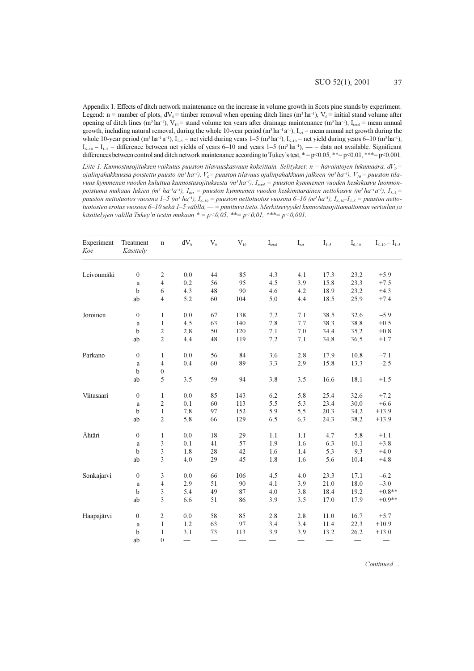Appendix 1. Effects of ditch network maintenance on the increase in volume growth in Scots pine stands by experiment. Legend: n = number of plots,  $dV_0$  = timber removal when opening ditch lines (m<sup>3</sup> ha<sup>-1</sup>),  $V_0$  = initial stand volume after opening of ditch lines (m<sup>3</sup> ha<sup>-1</sup>),  $V_{10}$  = stand volume ten years after drainage maintenance (m<sup>3</sup> ha<sup>-1</sup>), I<sub>total</sub> = mean annual growth, including natural removal, during the whole 10-year period  $(m^3 ha^{-1}a^{-1})$ , I<sub>net</sub> = mean annual net growth during the whole 10-year period  $(m^3 \text{ ha}^{-1} a^{-1})$ ,  $I_{1-5}$  = net yield during years 1–5  $(m^3 \text{ ha}^{-1})$ ,  $I_{6-10}$  = net yield during years 6–10  $(m^3 \text{ ha}^{-1})$ ,  $I_{6-10} - I_{1-5} =$  difference between net yields of years 6–10 and years 1–5 (m<sup>3</sup> ha<sup>-1</sup>), — = data not available. Significant differences between control and ditch network maintenance according to Tukey's test,  $* = p \le 0.05$ ,  $** = p \le 0.01$ ,  $** = p \le 0.001$ .

Liite 1. Kunnostusojituksen vaikutus puuston tilavuuskasvuun kokeittain. Selitykset: n = havaintojen lukumäärä, d $V_o$ = ojalinjahakkuussa poistettu puusto (m $^3$ ha<sup>-1</sup>),  $V_o^=$  puuston tilavuus ojalinjahakkuun jälkeen (m $^3$ ha<sup>-1</sup>),  $V_{10}^{}$ = puuston tilavuus kymmenen vuoden kuluttua kunnostusojituksesta (m<sup>3</sup> ha<sup>-1</sup>), I<sub>total</sub> = puuston kymmenen vuoden keskikasvu luonnonpoistuma mukaan lukien (m $^3$  ha<sup>1</sup>a<sup>-1</sup>, I<sub>net</sub> = puuston kymmenen vuoden keskimääräinen nettokasvu (m $^3$  ha<sup>-1</sup>a<sup>-1</sup>), I<sub>1-5</sub> = puuston nettotuotos vuosina 1–5 (m $^3$  ha $^{-1}$ ), I<sub>6–10</sub> = puuston nettotuotos vuosina 6–10 (m $^3$  ha $^{-1}$ ), I<sub>6–10</sub>–I<sub>1–5</sub> = puuston nettotuotosten erotus vuosien 6–10 sekä 1–5 välillä, — = puuttuva tieto. Merkitsevyydet kunnostusojittamattoman vertailun ja käsittelyjen välillä Tukey'n testin mukaan \* = p<0,05, \*\*= p<0,01, \*\*\*= p<0,001.

| Experiment<br>Koe | Treatment<br>Käsittely | $\mathbf n$      | $dV_0$  | $V_0$                    | $V_{10}$ | $\mathbf{I}_{\text{total}}$ | $\mathbf{I}_{\text{net}}$ | $I_{1-5}$ | $\mathrm{I}_{6-10}$ | $I_{6-10} - I_{1-5}$ |
|-------------------|------------------------|------------------|---------|--------------------------|----------|-----------------------------|---------------------------|-----------|---------------------|----------------------|
| Leivonmäki        | $\boldsymbol{0}$       | $\sqrt{2}$       | $0.0\,$ | 44                       | 85       | 4.3                         | 4.1                       | 17.3      | 23.2                | $+5.9$               |
|                   | a                      | $\overline{4}$   | 0.2     | 56                       | 95       | 4.5                         | 3.9                       | 15.8      | 23.3                | $+7.5$               |
|                   | $\mathbf b$            | 6                | 4.3     | 48                       | $90\,$   | 4.6                         | 4.2                       | 18.9      | 23.2                | $+4.3$               |
|                   | ab                     | $\overline{4}$   | 5.2     | 60                       | 104      | 5.0                         | 4.4                       | 18.5      | 25.9                | $+7.4$               |
| Joroinen          | $\boldsymbol{0}$       | $\mathbf{1}$     | 0.0     | 67                       | 138      | 7.2                         | 7.1                       | 38.5      | 32.6                | $-5.9$               |
|                   | $\rm{a}$               | $\mathbf{1}$     | 4.5     | 63                       | 140      | 7.8                         | 7.7                       | 38.3      | 38.8                | $+0.5$               |
|                   | $\mathbf b$            | $\sqrt{2}$       | 2.8     | $50\,$                   | 120      | 7.1                         | $7.0\,$                   | 34.4      | 35.2                | $+0.8$               |
|                   | ab                     | $\sqrt{2}$       | 4.4     | 48                       | 119      | 7.2                         | 7.1                       | 34.8      | 36.5                | $+1.7$               |
| Parkano           | $\boldsymbol{0}$       | $\mathbf{1}$     | 0.0     | 56                       | 84       | 3.6                         | 2.8                       | 17.9      | 10.8                | $-7.1$               |
|                   | $\rm{a}$               | $\overline{4}$   | 0.4     | 60                       | 89       | 3.3                         | 2.9                       | 15.8      | 13.3                | $-2.5$               |
|                   | b                      | $\boldsymbol{0}$ |         | $\overline{\phantom{0}}$ |          |                             |                           |           |                     |                      |
|                   | ab                     | 5                | 3.5     | 59                       | 94       | 3.8                         | 3.5                       | 16.6      | 18.1                | $+1.5$               |
| Viitasaari        | $\mathbf{0}$           | $\mathbf{1}$     | 0.0     | 85                       | 143      | 6.2                         | 5.8                       | 25.4      | 32.6                | $+7.2$               |
|                   | $\rm{a}$               | $\boldsymbol{2}$ | 0.1     | 60                       | 113      | 5.5                         | 5.3                       | 23.4      | 30.0                | $+6.6$               |
|                   | $\mathbf b$            | $\mathbf{1}$     | $7.8\,$ | 97                       | 152      | 5.9                         | 5.5                       | 20.3      | 34.2                | $+13.9$              |
|                   | ab                     | $\overline{2}$   | 5.8     | 66                       | 129      | 6.5                         | 6.3                       | 24.3      | 38.2                | $+13.9$              |
| Ähtäri            | $\mathbf{0}$           | 1                | 0.0     | 18                       | 29       | 1.1                         | 1.1                       | 4.7       | 5.8                 | $+1.1$               |
|                   | $\rm{a}$               | $\mathfrak z$    | 0.1     | 41                       | 57       | 1.9                         | 1.6                       | 6.3       | 10.1                | $+3.8$               |
|                   | $\mathbf b$            | $\mathfrak{Z}$   | 1.8     | 28                       | 42       | 1.6                         | 1.4                       | 5.3       | 9.3                 | $+4.0$               |
|                   | ab                     | 3                | 4.0     | 29                       | 45       | 1.8                         | 1.6                       | 5.6       | 10.4                | $+4.8$               |
| Sonkajärvi        | $\boldsymbol{0}$       | 3                | 0.0     | 66                       | 106      | 4.5                         | 4.0                       | 23.3      | 17.1                | $-6.2$               |
|                   | $\rm{a}$               | $\overline{4}$   | 2.9     | 51                       | 90       | 4.1                         | 3.9                       | 21.0      | 18.0                | $-3.0$               |
|                   | b                      | 3                | 5.4     | 49                       | 87       | 4.0                         | 3.8                       | 18.4      | 19.2                | $+0.8**$             |
|                   | ab                     | 3                | 6.6     | 51                       | 86       | 3.9                         | 3.5                       | 17.0      | 17.9                | $+0.9**$             |
| Haapajärvi        | $\boldsymbol{0}$       | $\mathbf{2}$     | 0.0     | 58                       | 85       | 2.8                         | 2.8                       | 11.0      | 16.7                | $+5.7$               |
|                   | $\rm{a}$               | $\mathbf{1}$     | 1.2     | 63                       | 97       | 3.4                         | 3.4                       | 11.4      | 22.3                | $+10.9$              |
|                   | $\mathbf b$            | $\mathbf{1}$     | 3.1     | 73                       | 113      | 3.9                         | 3.9                       | 13.2      | 26.2                | $+13.0$              |
|                   | ab                     | $\mathbf{0}$     |         |                          |          |                             |                           |           |                     |                      |

Continued...